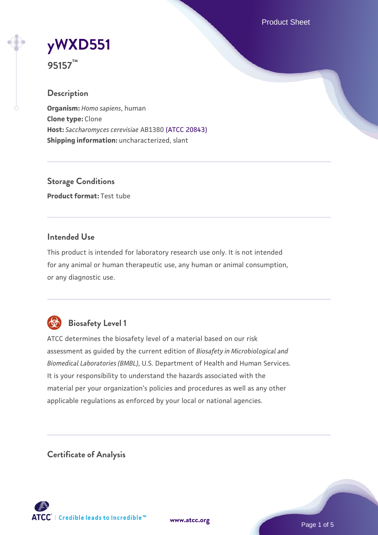Product Sheet

# **[yWXD551](https://www.atcc.org/products/95157)**

**95157™**

#### **Description**

**Organism:** *Homo sapiens*, human **Clone type:** Clone **Host:** *Saccharomyces cerevisiae* AB1380 [\(ATCC 20843\)](https://www.atcc.org/products/20843) **Shipping information:** uncharacterized, slant

**Storage Conditions Product format:** Test tube

#### **Intended Use**

This product is intended for laboratory research use only. It is not intended for any animal or human therapeutic use, any human or animal consumption, or any diagnostic use.



### **Biosafety Level 1**

ATCC determines the biosafety level of a material based on our risk assessment as guided by the current edition of *Biosafety in Microbiological and Biomedical Laboratories (BMBL)*, U.S. Department of Health and Human Services. It is your responsibility to understand the hazards associated with the material per your organization's policies and procedures as well as any other applicable regulations as enforced by your local or national agencies.

**Certificate of Analysis**

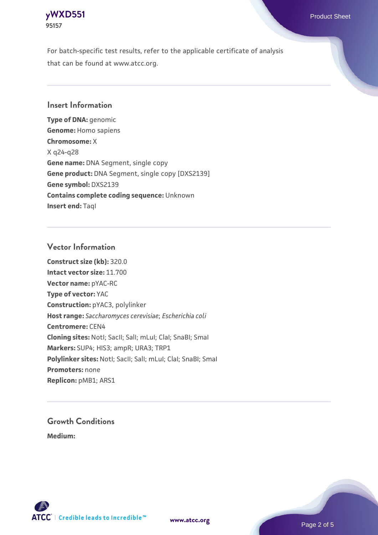

For batch-specific test results, refer to the applicable certificate of analysis that can be found at www.atcc.org.

#### **Insert Information**

**Type of DNA:** genomic **Genome:** Homo sapiens **Chromosome:** X X q24-q28 **Gene name:** DNA Segment, single copy **Gene product:** DNA Segment, single copy [DXS2139] **Gene symbol:** DXS2139 **Contains complete coding sequence:** Unknown **Insert end: Tagl** 

#### **Vector Information**

**Construct size (kb):** 320.0 **Intact vector size:** 11.700 **Vector name:** pYAC-RC **Type of vector:** YAC **Construction:** pYAC3, polylinker **Host range:** *Saccharomyces cerevisiae*; *Escherichia coli* **Centromere:** CEN4 **Cloning sites:** NotI; SacII; SalI; mLuI; ClaI; SnaBI; SmaI **Markers:** SUP4; HIS3; ampR; URA3; TRP1 Polylinker sites: Notl; SacII; SalI; mLuI; ClaI; SnaBI; SmaI **Promoters:** none **Replicon:** pMB1; ARS1

## **Growth Conditions**

**Medium:** 



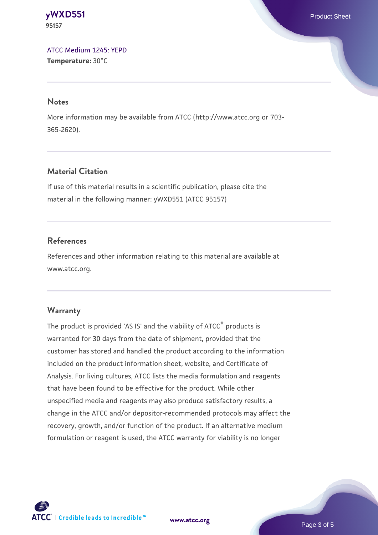**[yWXD551](https://www.atcc.org/products/95157)** Product Sheet **95157**

[ATCC Medium 1245: YEPD](https://www.atcc.org/-/media/product-assets/documents/microbial-media-formulations/1/2/4/5/atcc-medium-1245.pdf?rev=705ca55d1b6f490a808a965d5c072196) **Temperature:** 30°C

#### **Notes**

More information may be available from ATCC (http://www.atcc.org or 703- 365-2620).

#### **Material Citation**

If use of this material results in a scientific publication, please cite the material in the following manner: yWXD551 (ATCC 95157)

#### **References**

References and other information relating to this material are available at www.atcc.org.

#### **Warranty**

The product is provided 'AS IS' and the viability of ATCC® products is warranted for 30 days from the date of shipment, provided that the customer has stored and handled the product according to the information included on the product information sheet, website, and Certificate of Analysis. For living cultures, ATCC lists the media formulation and reagents that have been found to be effective for the product. While other unspecified media and reagents may also produce satisfactory results, a change in the ATCC and/or depositor-recommended protocols may affect the recovery, growth, and/or function of the product. If an alternative medium formulation or reagent is used, the ATCC warranty for viability is no longer



**[www.atcc.org](http://www.atcc.org)**

Page 3 of 5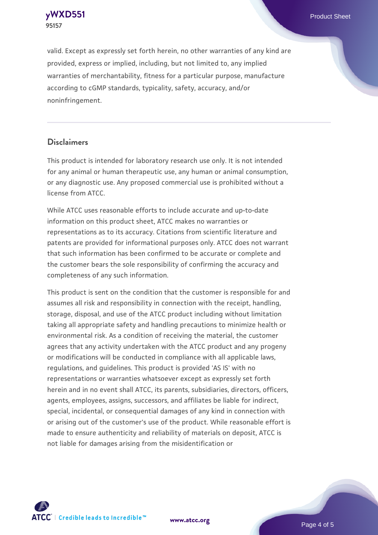

valid. Except as expressly set forth herein, no other warranties of any kind are provided, express or implied, including, but not limited to, any implied warranties of merchantability, fitness for a particular purpose, manufacture according to cGMP standards, typicality, safety, accuracy, and/or noninfringement.

#### **Disclaimers**

This product is intended for laboratory research use only. It is not intended for any animal or human therapeutic use, any human or animal consumption, or any diagnostic use. Any proposed commercial use is prohibited without a license from ATCC.

While ATCC uses reasonable efforts to include accurate and up-to-date information on this product sheet, ATCC makes no warranties or representations as to its accuracy. Citations from scientific literature and patents are provided for informational purposes only. ATCC does not warrant that such information has been confirmed to be accurate or complete and the customer bears the sole responsibility of confirming the accuracy and completeness of any such information.

This product is sent on the condition that the customer is responsible for and assumes all risk and responsibility in connection with the receipt, handling, storage, disposal, and use of the ATCC product including without limitation taking all appropriate safety and handling precautions to minimize health or environmental risk. As a condition of receiving the material, the customer agrees that any activity undertaken with the ATCC product and any progeny or modifications will be conducted in compliance with all applicable laws, regulations, and guidelines. This product is provided 'AS IS' with no representations or warranties whatsoever except as expressly set forth herein and in no event shall ATCC, its parents, subsidiaries, directors, officers, agents, employees, assigns, successors, and affiliates be liable for indirect, special, incidental, or consequential damages of any kind in connection with or arising out of the customer's use of the product. While reasonable effort is made to ensure authenticity and reliability of materials on deposit, ATCC is not liable for damages arising from the misidentification or



**[www.atcc.org](http://www.atcc.org)**

Page 4 of 5